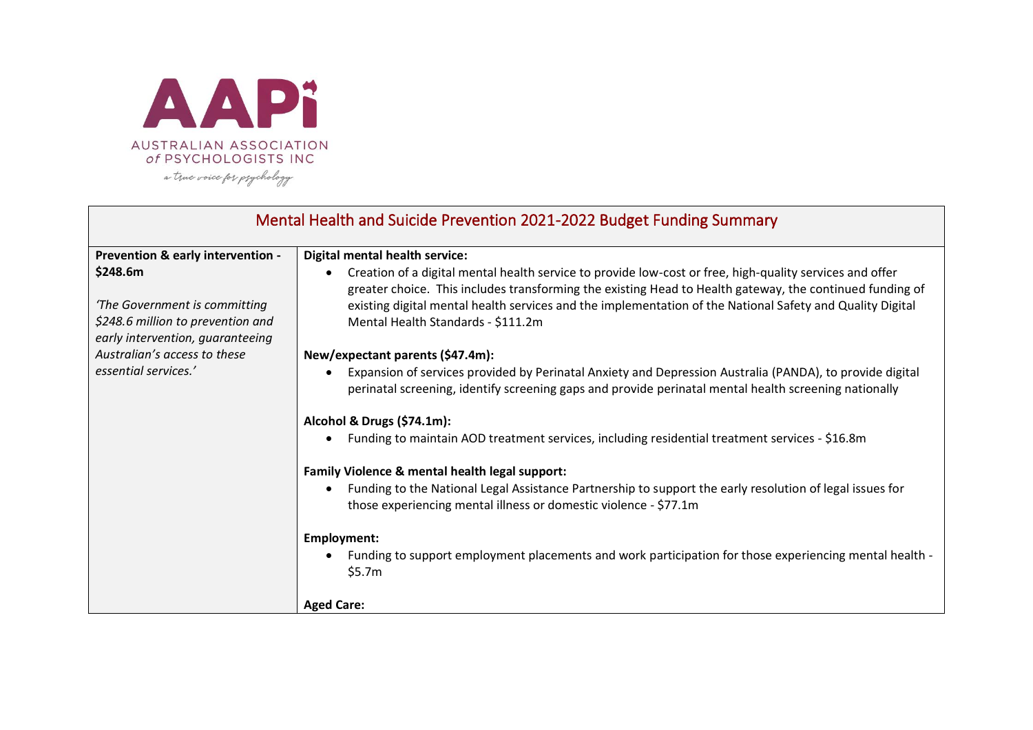

| Mental Health and Suicide Prevention 2021-2022 Budget Funding Summary                                              |                                                                                                                                                                                                                                                                                                                                                                         |
|--------------------------------------------------------------------------------------------------------------------|-------------------------------------------------------------------------------------------------------------------------------------------------------------------------------------------------------------------------------------------------------------------------------------------------------------------------------------------------------------------------|
| Prevention & early intervention -                                                                                  | Digital mental health service:                                                                                                                                                                                                                                                                                                                                          |
| \$248.6m<br>'The Government is committing<br>\$248.6 million to prevention and<br>early intervention, guaranteeing | Creation of a digital mental health service to provide low-cost or free, high-quality services and offer<br>greater choice. This includes transforming the existing Head to Health gateway, the continued funding of<br>existing digital mental health services and the implementation of the National Safety and Quality Digital<br>Mental Health Standards - \$111.2m |
| Australian's access to these                                                                                       | New/expectant parents (\$47.4m):                                                                                                                                                                                                                                                                                                                                        |
| essential services.'                                                                                               | Expansion of services provided by Perinatal Anxiety and Depression Australia (PANDA), to provide digital<br>perinatal screening, identify screening gaps and provide perinatal mental health screening nationally                                                                                                                                                       |
|                                                                                                                    | Alcohol & Drugs (\$74.1m):                                                                                                                                                                                                                                                                                                                                              |
|                                                                                                                    | Funding to maintain AOD treatment services, including residential treatment services - \$16.8m                                                                                                                                                                                                                                                                          |
|                                                                                                                    | Family Violence & mental health legal support:                                                                                                                                                                                                                                                                                                                          |
|                                                                                                                    | Funding to the National Legal Assistance Partnership to support the early resolution of legal issues for<br>those experiencing mental illness or domestic violence - \$77.1m                                                                                                                                                                                            |
|                                                                                                                    | Employment:                                                                                                                                                                                                                                                                                                                                                             |
|                                                                                                                    | Funding to support employment placements and work participation for those experiencing mental health -<br>\$5.7m                                                                                                                                                                                                                                                        |
|                                                                                                                    | <b>Aged Care:</b>                                                                                                                                                                                                                                                                                                                                                       |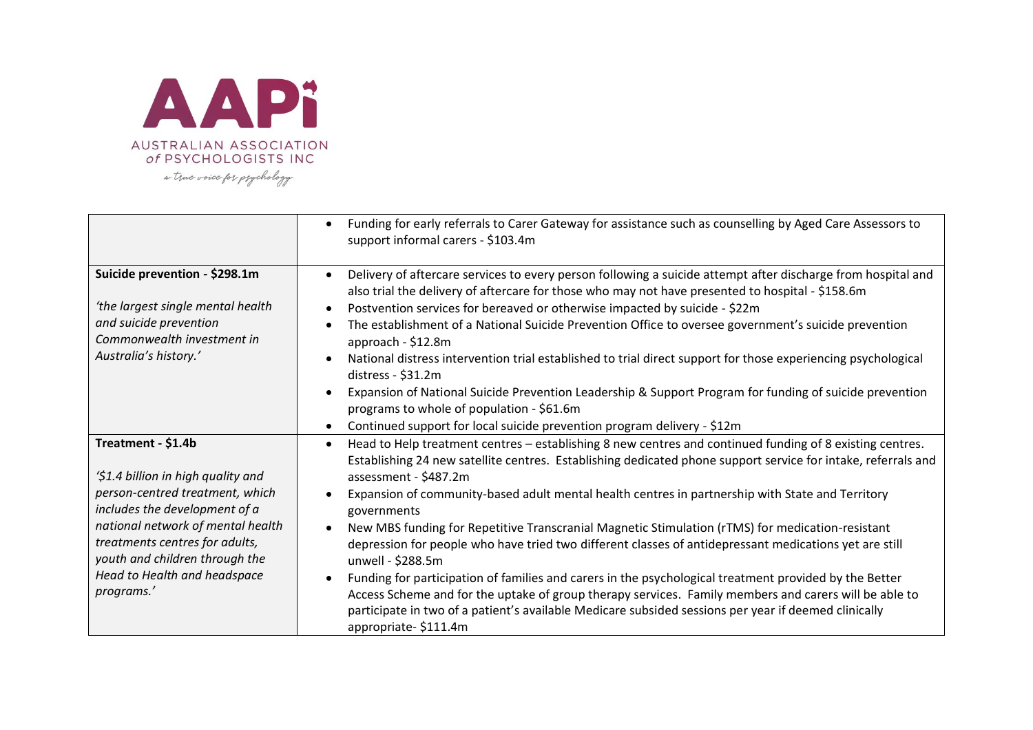

|                                                                                                                                                                                                                                                                                     | Funding for early referrals to Carer Gateway for assistance such as counselling by Aged Care Assessors to<br>support informal carers - \$103.4m                                                                                                                                                                                                                                                                                                                                                                                                                                                                                                                                                                                                                                                                                                                                                                                                                                       |
|-------------------------------------------------------------------------------------------------------------------------------------------------------------------------------------------------------------------------------------------------------------------------------------|---------------------------------------------------------------------------------------------------------------------------------------------------------------------------------------------------------------------------------------------------------------------------------------------------------------------------------------------------------------------------------------------------------------------------------------------------------------------------------------------------------------------------------------------------------------------------------------------------------------------------------------------------------------------------------------------------------------------------------------------------------------------------------------------------------------------------------------------------------------------------------------------------------------------------------------------------------------------------------------|
| Suicide prevention - \$298.1m<br>'the largest single mental health<br>and suicide prevention<br>Commonwealth investment in<br>Australia's history.'                                                                                                                                 | Delivery of aftercare services to every person following a suicide attempt after discharge from hospital and<br>also trial the delivery of aftercare for those who may not have presented to hospital - \$158.6m<br>Postvention services for bereaved or otherwise impacted by suicide - \$22m<br>The establishment of a National Suicide Prevention Office to oversee government's suicide prevention<br>approach - \$12.8m<br>National distress intervention trial established to trial direct support for those experiencing psychological<br>distress - \$31.2m<br>Expansion of National Suicide Prevention Leadership & Support Program for funding of suicide prevention<br>programs to whole of population - \$61.6m<br>Continued support for local suicide prevention program delivery - \$12m<br>$\bullet$                                                                                                                                                                   |
| Treatment - \$1.4b<br>'\$1.4 billion in high quality and<br>person-centred treatment, which<br>includes the development of a<br>national network of mental health<br>treatments centres for adults,<br>youth and children through the<br>Head to Health and headspace<br>programs.' | Head to Help treatment centres - establishing 8 new centres and continued funding of 8 existing centres.<br>$\bullet$<br>Establishing 24 new satellite centres. Establishing dedicated phone support service for intake, referrals and<br>assessment - \$487.2m<br>Expansion of community-based adult mental health centres in partnership with State and Territory<br>governments<br>New MBS funding for Repetitive Transcranial Magnetic Stimulation (rTMS) for medication-resistant<br>$\bullet$<br>depression for people who have tried two different classes of antidepressant medications yet are still<br>unwell - \$288.5m<br>Funding for participation of families and carers in the psychological treatment provided by the Better<br>Access Scheme and for the uptake of group therapy services. Family members and carers will be able to<br>participate in two of a patient's available Medicare subsided sessions per year if deemed clinically<br>appropriate-\$111.4m |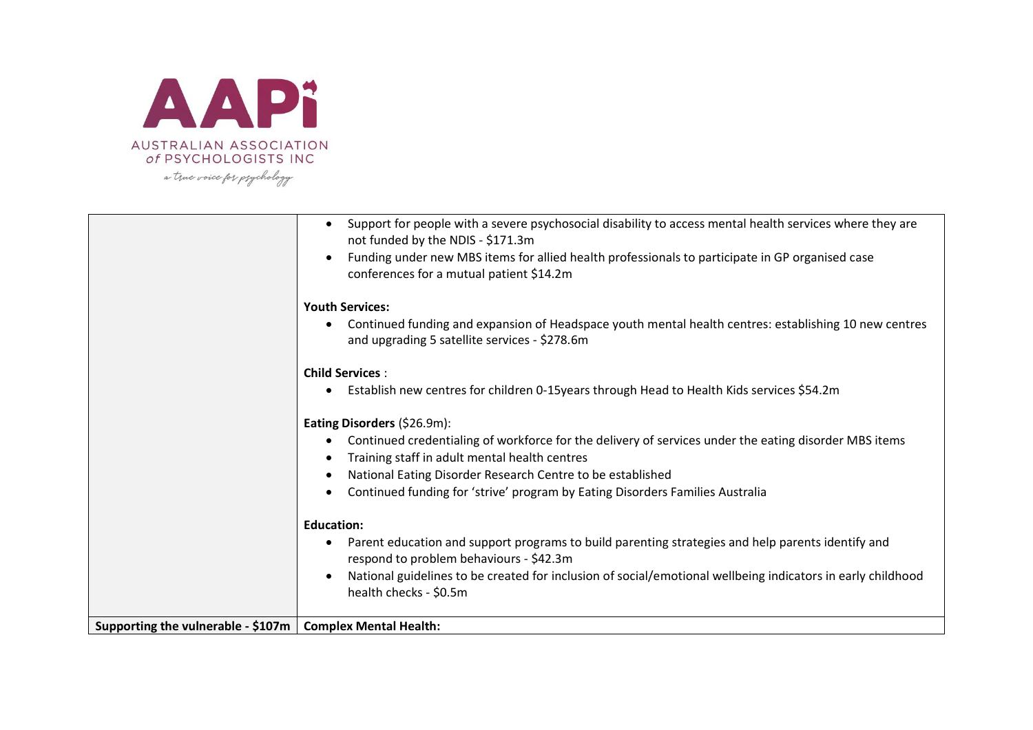

|                                                             | Support for people with a severe psychosocial disability to access mental health services where they are<br>not funded by the NDIS - \$171.3m<br>Funding under new MBS items for allied health professionals to participate in GP organised case<br>conferences for a mutual patient \$14.2m |
|-------------------------------------------------------------|----------------------------------------------------------------------------------------------------------------------------------------------------------------------------------------------------------------------------------------------------------------------------------------------|
|                                                             | <b>Youth Services:</b>                                                                                                                                                                                                                                                                       |
|                                                             | Continued funding and expansion of Headspace youth mental health centres: establishing 10 new centres<br>and upgrading 5 satellite services - \$278.6m                                                                                                                                       |
|                                                             | <b>Child Services:</b>                                                                                                                                                                                                                                                                       |
|                                                             | Establish new centres for children 0-15years through Head to Health Kids services \$54.2m                                                                                                                                                                                                    |
|                                                             | Eating Disorders (\$26.9m):                                                                                                                                                                                                                                                                  |
|                                                             | Continued credentialing of workforce for the delivery of services under the eating disorder MBS items                                                                                                                                                                                        |
|                                                             | Training staff in adult mental health centres                                                                                                                                                                                                                                                |
|                                                             | National Eating Disorder Research Centre to be established<br>Continued funding for 'strive' program by Eating Disorders Families Australia                                                                                                                                                  |
|                                                             |                                                                                                                                                                                                                                                                                              |
|                                                             | <b>Education:</b>                                                                                                                                                                                                                                                                            |
|                                                             | Parent education and support programs to build parenting strategies and help parents identify and<br>$\bullet$<br>respond to problem behaviours - \$42.3m                                                                                                                                    |
|                                                             | National guidelines to be created for inclusion of social/emotional wellbeing indicators in early childhood<br>health checks - \$0.5m                                                                                                                                                        |
| Supporting the vulnerable - \$107m   Complex Mental Health: |                                                                                                                                                                                                                                                                                              |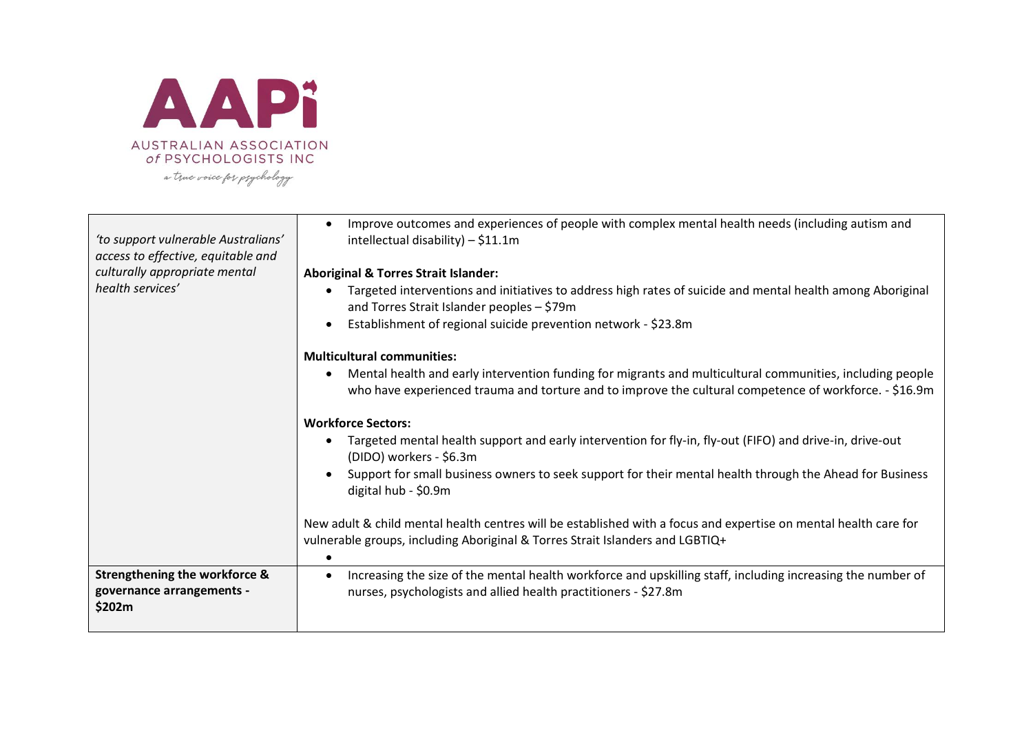

| 'to support vulnerable Australians'<br>access to effective, equitable and       | Improve outcomes and experiences of people with complex mental health needs (including autism and<br>$\bullet$<br>intellectual disability) $-$ \$11.1m                                                              |
|---------------------------------------------------------------------------------|---------------------------------------------------------------------------------------------------------------------------------------------------------------------------------------------------------------------|
| culturally appropriate mental                                                   | <b>Aboriginal &amp; Torres Strait Islander:</b>                                                                                                                                                                     |
| health services'                                                                | Targeted interventions and initiatives to address high rates of suicide and mental health among Aboriginal<br>and Torres Strait Islander peoples - \$79m                                                            |
|                                                                                 | Establishment of regional suicide prevention network - \$23.8m                                                                                                                                                      |
|                                                                                 | <b>Multicultural communities:</b>                                                                                                                                                                                   |
|                                                                                 | Mental health and early intervention funding for migrants and multicultural communities, including people<br>who have experienced trauma and torture and to improve the cultural competence of workforce. - \$16.9m |
|                                                                                 | <b>Workforce Sectors:</b>                                                                                                                                                                                           |
|                                                                                 | Targeted mental health support and early intervention for fly-in, fly-out (FIFO) and drive-in, drive-out<br>(DIDO) workers - \$6.3m                                                                                 |
|                                                                                 | Support for small business owners to seek support for their mental health through the Ahead for Business<br>digital hub - \$0.9m                                                                                    |
|                                                                                 | New adult & child mental health centres will be established with a focus and expertise on mental health care for<br>vulnerable groups, including Aboriginal & Torres Strait Islanders and LGBTIQ+                   |
| <b>Strengthening the workforce &amp;</b><br>governance arrangements -<br>\$202m | Increasing the size of the mental health workforce and upskilling staff, including increasing the number of<br>nurses, psychologists and allied health practitioners - \$27.8m                                      |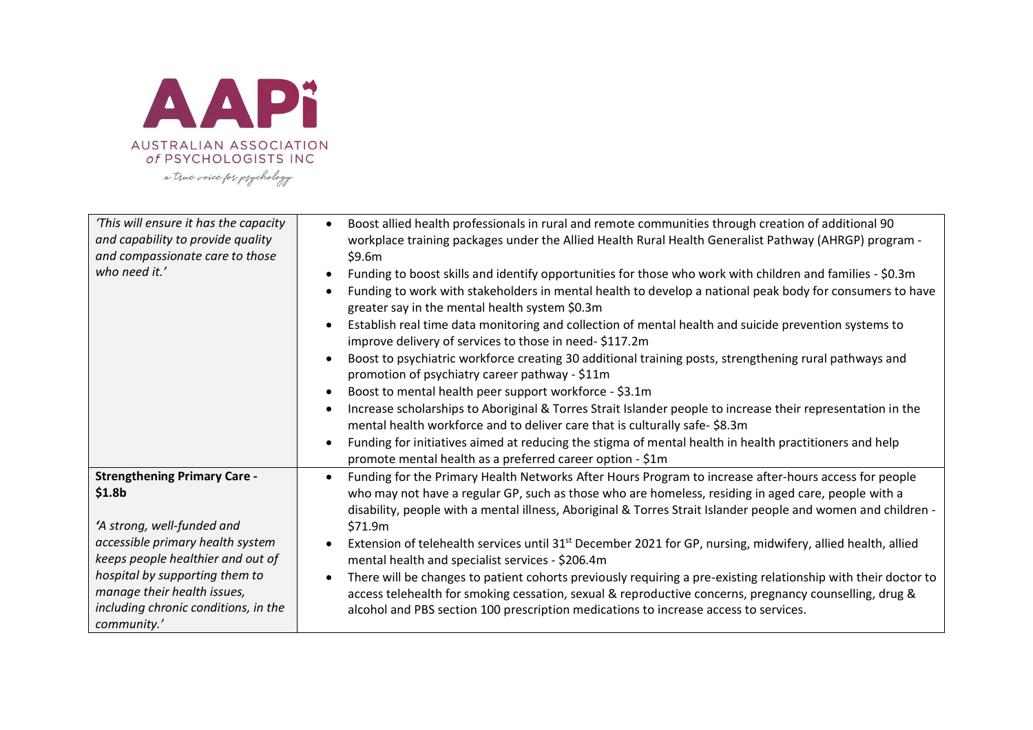

| This will ensure it has the capacity<br>and capability to provide quality<br>and compassionate care to those<br>who need it.' | Boost allied health professionals in rural and remote communities through creation of additional 90<br>workplace training packages under the Allied Health Rural Health Generalist Pathway (AHRGP) program -<br>\$9.6m<br>Funding to boost skills and identify opportunities for those who work with children and families - \$0.3m<br>Funding to work with stakeholders in mental health to develop a national peak body for consumers to have<br>greater say in the mental health system \$0.3m<br>Establish real time data monitoring and collection of mental health and suicide prevention systems to<br>improve delivery of services to those in need-\$117.2m<br>Boost to psychiatric workforce creating 30 additional training posts, strengthening rural pathways and<br>promotion of psychiatry career pathway - \$11m<br>Boost to mental health peer support workforce - \$3.1m<br>Increase scholarships to Aboriginal & Torres Strait Islander people to increase their representation in the<br>mental health workforce and to deliver care that is culturally safe-\$8.3m<br>Funding for initiatives aimed at reducing the stigma of mental health in health practitioners and help<br>promote mental health as a preferred career option - \$1m |
|-------------------------------------------------------------------------------------------------------------------------------|----------------------------------------------------------------------------------------------------------------------------------------------------------------------------------------------------------------------------------------------------------------------------------------------------------------------------------------------------------------------------------------------------------------------------------------------------------------------------------------------------------------------------------------------------------------------------------------------------------------------------------------------------------------------------------------------------------------------------------------------------------------------------------------------------------------------------------------------------------------------------------------------------------------------------------------------------------------------------------------------------------------------------------------------------------------------------------------------------------------------------------------------------------------------------------------------------------------------------------------------------------------|
| <b>Strengthening Primary Care -</b>                                                                                           | Funding for the Primary Health Networks After Hours Program to increase after-hours access for people                                                                                                                                                                                                                                                                                                                                                                                                                                                                                                                                                                                                                                                                                                                                                                                                                                                                                                                                                                                                                                                                                                                                                          |
| \$1.8 <sub>b</sub>                                                                                                            | who may not have a regular GP, such as those who are homeless, residing in aged care, people with a                                                                                                                                                                                                                                                                                                                                                                                                                                                                                                                                                                                                                                                                                                                                                                                                                                                                                                                                                                                                                                                                                                                                                            |
| 'A strong, well-funded and                                                                                                    | disability, people with a mental illness, Aboriginal & Torres Strait Islander people and women and children -                                                                                                                                                                                                                                                                                                                                                                                                                                                                                                                                                                                                                                                                                                                                                                                                                                                                                                                                                                                                                                                                                                                                                  |
| accessible primary health system                                                                                              | \$71.9m                                                                                                                                                                                                                                                                                                                                                                                                                                                                                                                                                                                                                                                                                                                                                                                                                                                                                                                                                                                                                                                                                                                                                                                                                                                        |
| keeps people healthier and out of                                                                                             | Extension of telehealth services until 31 <sup>st</sup> December 2021 for GP, nursing, midwifery, allied health, allied                                                                                                                                                                                                                                                                                                                                                                                                                                                                                                                                                                                                                                                                                                                                                                                                                                                                                                                                                                                                                                                                                                                                        |
| hospital by supporting them to                                                                                                | mental health and specialist services - \$206.4m                                                                                                                                                                                                                                                                                                                                                                                                                                                                                                                                                                                                                                                                                                                                                                                                                                                                                                                                                                                                                                                                                                                                                                                                               |
| manage their health issues,                                                                                                   | There will be changes to patient cohorts previously requiring a pre-existing relationship with their doctor to                                                                                                                                                                                                                                                                                                                                                                                                                                                                                                                                                                                                                                                                                                                                                                                                                                                                                                                                                                                                                                                                                                                                                 |
| including chronic conditions, in the                                                                                          | access telehealth for smoking cessation, sexual & reproductive concerns, pregnancy counselling, drug &                                                                                                                                                                                                                                                                                                                                                                                                                                                                                                                                                                                                                                                                                                                                                                                                                                                                                                                                                                                                                                                                                                                                                         |
| community.'                                                                                                                   | alcohol and PBS section 100 prescription medications to increase access to services.                                                                                                                                                                                                                                                                                                                                                                                                                                                                                                                                                                                                                                                                                                                                                                                                                                                                                                                                                                                                                                                                                                                                                                           |